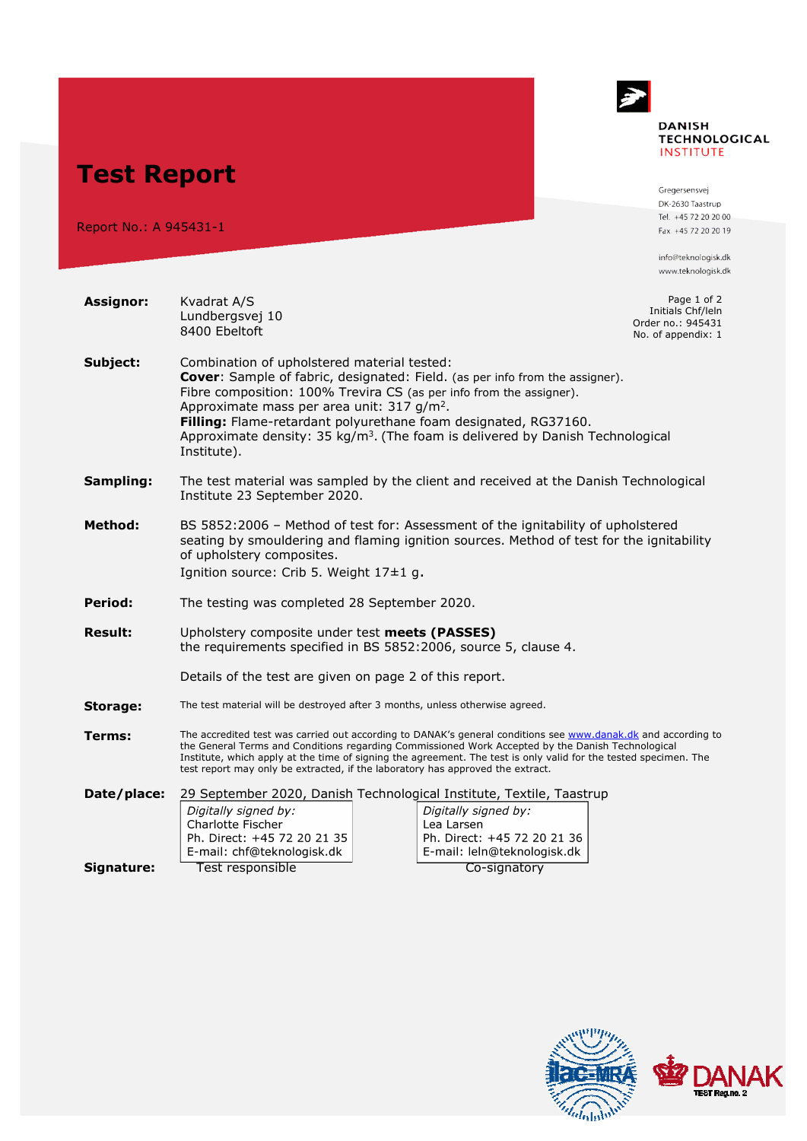

**Test Report** 

Report No.: A 945431-1

**Assignor:** Kvadrat A/S

Gregersensvej DK-2630 Taastrup Tel. +45 72 20 20 00 Fax +45 72 20 20 19

info@teknologisk.dk www.teknologisk.dk

Page 1 of 2 Initials Chf/leln Order no.: 945431

|                | Lundbergsvej 10<br>8400 Ebeltoft                                                                                                                                                                                                                                                                                                                                                                                                                    |  |                                                                                                                                                                          | Initials Chf/lein<br>Order no.: 945431<br>No. of appendix: 1 |  |
|----------------|-----------------------------------------------------------------------------------------------------------------------------------------------------------------------------------------------------------------------------------------------------------------------------------------------------------------------------------------------------------------------------------------------------------------------------------------------------|--|--------------------------------------------------------------------------------------------------------------------------------------------------------------------------|--------------------------------------------------------------|--|
| Subject:       | Combination of upholstered material tested:<br><b>Cover:</b> Sample of fabric, designated: Field. (as per info from the assigner).<br>Fibre composition: 100% Trevira CS (as per info from the assigner).<br>Approximate mass per area unit: 317 g/m <sup>2</sup> .<br>Filling: Flame-retardant polyurethane foam designated, RG37160.<br>Approximate density: 35 kg/m <sup>3</sup> . (The foam is delivered by Danish Technological<br>Institute). |  |                                                                                                                                                                          |                                                              |  |
| Sampling:      | The test material was sampled by the client and received at the Danish Technological<br>Institute 23 September 2020.                                                                                                                                                                                                                                                                                                                                |  |                                                                                                                                                                          |                                                              |  |
| <b>Method:</b> | BS 5852:2006 - Method of test for: Assessment of the ignitability of upholstered<br>seating by smouldering and flaming ignition sources. Method of test for the ignitability<br>of upholstery composites.<br>Ignition source: Crib 5. Weight 17±1 g.                                                                                                                                                                                                |  |                                                                                                                                                                          |                                                              |  |
| Period:        | The testing was completed 28 September 2020.                                                                                                                                                                                                                                                                                                                                                                                                        |  |                                                                                                                                                                          |                                                              |  |
| <b>Result:</b> | Upholstery composite under test meets (PASSES)<br>the requirements specified in BS 5852:2006, source 5, clause 4.                                                                                                                                                                                                                                                                                                                                   |  |                                                                                                                                                                          |                                                              |  |
|                | Details of the test are given on page 2 of this report.                                                                                                                                                                                                                                                                                                                                                                                             |  |                                                                                                                                                                          |                                                              |  |
| Storage:       | The test material will be destroyed after 3 months, unless otherwise agreed.                                                                                                                                                                                                                                                                                                                                                                        |  |                                                                                                                                                                          |                                                              |  |
| Terms:         | The accredited test was carried out according to DANAK's general conditions see www.danak.dk and according to<br>the General Terms and Conditions regarding Commissioned Work Accepted by the Danish Technological<br>Institute, which apply at the time of signing the agreement. The test is only valid for the tested specimen. The<br>test report may only be extracted, if the laboratory has approved the extract.                            |  |                                                                                                                                                                          |                                                              |  |
| Date/place:    | Digitally signed by:<br>Charlotte Fischer<br>Ph. Direct: +45 72 20 21 35<br>E-mail: chf@teknologisk.dk                                                                                                                                                                                                                                                                                                                                              |  | 29 September 2020, Danish Technological Institute, Textile, Taastrup<br>Digitally signed by:<br>Lea Larsen<br>Ph. Direct: +45 72 20 21 36<br>E-mail: leln@teknologisk.dk |                                                              |  |
| Signature:     | Test responsible                                                                                                                                                                                                                                                                                                                                                                                                                                    |  | Co-signatory                                                                                                                                                             |                                                              |  |

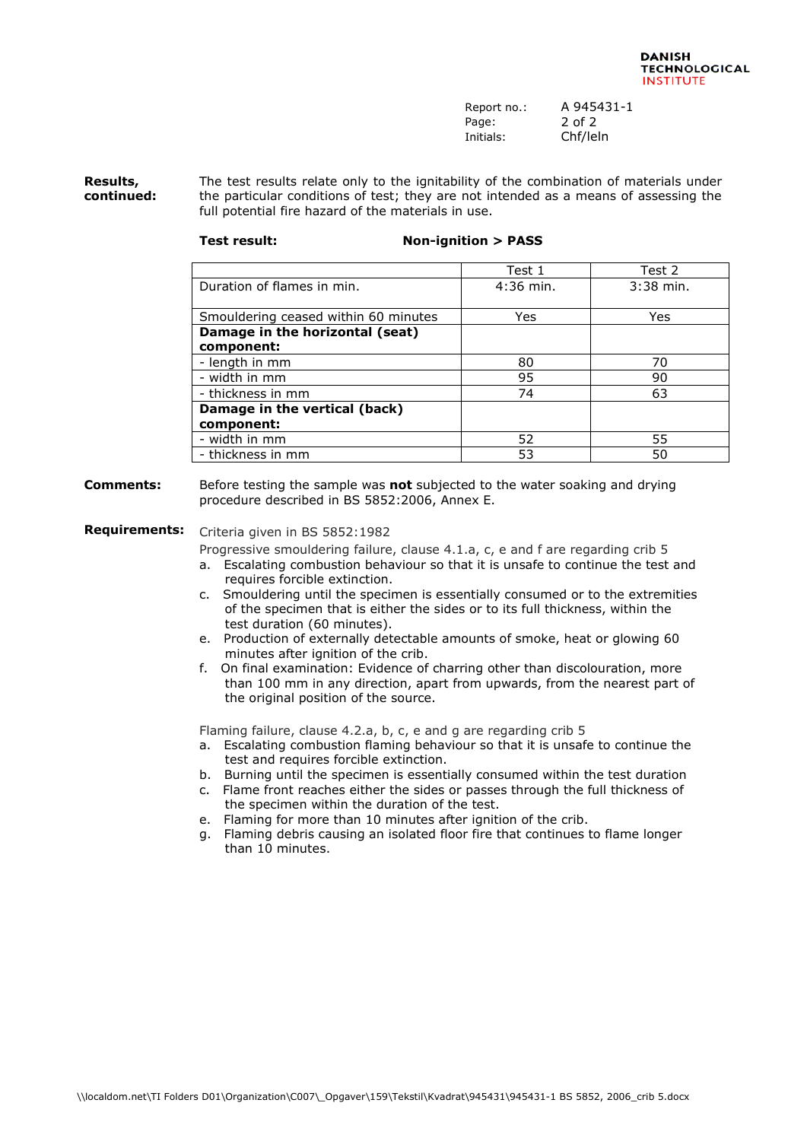| Report no.: | A 945431-1 |
|-------------|------------|
| Page:       | 2 of 2     |
| Initials:   | Chf/leln   |

**Results, continued:**  The test results relate only to the ignitability of the combination of materials under the particular conditions of test; they are not intended as a means of assessing the full potential fire hazard of the materials in use.

## **Test result: Non-ignition > PASS**

## Test 1 Test 2 Duration of flames in min. <br>  $\vert$  4:36 min. <br>
3:38 min. Smouldering ceased within 60 minutes The Yes Mes **Damage in the horizontal (seat) component:** - length in mm 80 70 - width in mm 95 90 - thickness in mm 63 **Damage in the vertical (back) component:** example the matrix of the term of the term of the term of the term of the term of the term of the term of the term of the term of the term of the term of the term of the term of the term of the term of the term of the term - thickness in mm 50 set of the control of the set of the set of the set of the set of the set of the set of t

**Comments:** Before testing the sample was **not** subjected to the water soaking and drying procedure described in BS 5852:2006, Annex E.

## **Requirements:** Criteria given in BS 5852:1982

Progressive smouldering failure, clause 4.1.a, c, e and f are regarding crib 5

- a. Escalating combustion behaviour so that it is unsafe to continue the test and requires forcible extinction.
- c. Smouldering until the specimen is essentially consumed or to the extremities of the specimen that is either the sides or to its full thickness, within the test duration (60 minutes).
- e. Production of externally detectable amounts of smoke, heat or glowing 60 minutes after ignition of the crib.
- f. On final examination: Evidence of charring other than discolouration, more than 100 mm in any direction, apart from upwards, from the nearest part of the original position of the source.

Flaming failure, clause 4.2.a, b, c, e and g are regarding crib 5

- a. Escalating combustion flaming behaviour so that it is unsafe to continue the test and requires forcible extinction.
- b. Burning until the specimen is essentially consumed within the test duration
- c. Flame front reaches either the sides or passes through the full thickness of the specimen within the duration of the test.
- e. Flaming for more than 10 minutes after ignition of the crib.
- g. Flaming debris causing an isolated floor fire that continues to flame longer than 10 minutes.